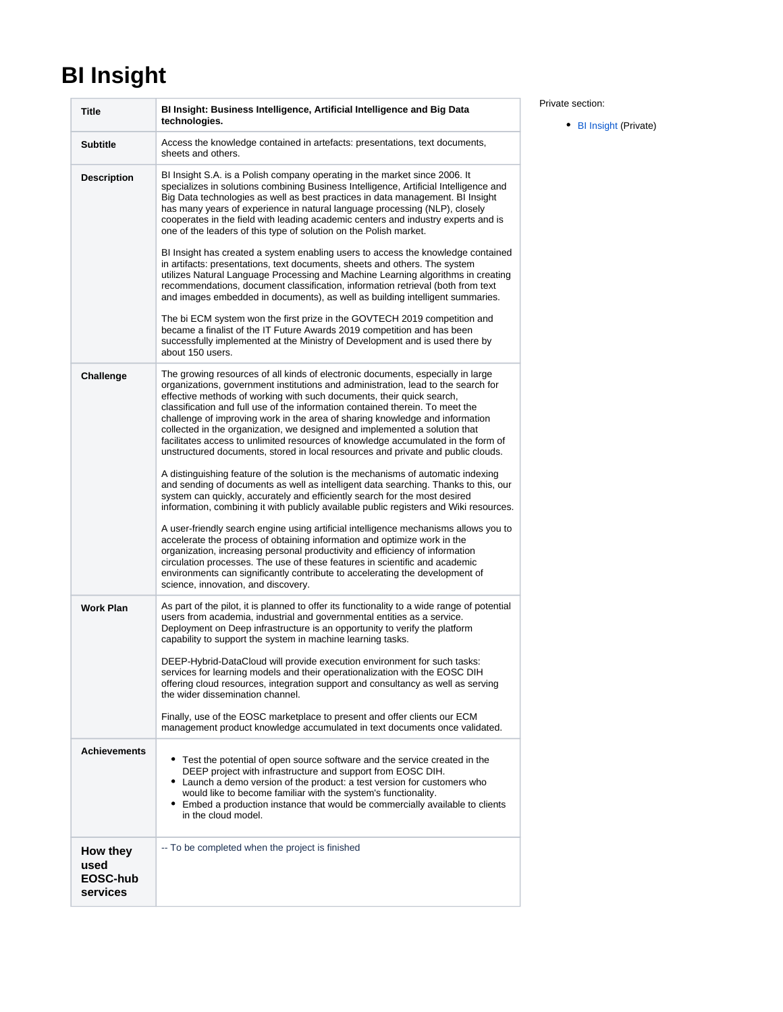## <span id="page-0-0"></span>**BI Insight**

| <b>Title</b>                             | BI Insight: Business Intelligence, Artificial Intelligence and Big Data<br>technologies.                                                                                                                                                                                                                                                                                                                                                                                                                                                                                                                                                                              |
|------------------------------------------|-----------------------------------------------------------------------------------------------------------------------------------------------------------------------------------------------------------------------------------------------------------------------------------------------------------------------------------------------------------------------------------------------------------------------------------------------------------------------------------------------------------------------------------------------------------------------------------------------------------------------------------------------------------------------|
| <b>Subtitle</b>                          | Access the knowledge contained in artefacts: presentations, text documents,<br>sheets and others.                                                                                                                                                                                                                                                                                                                                                                                                                                                                                                                                                                     |
| <b>Description</b>                       | BI Insight S.A. is a Polish company operating in the market since 2006. It<br>specializes in solutions combining Business Intelligence, Artificial Intelligence and<br>Big Data technologies as well as best practices in data management. BI Insight<br>has many years of experience in natural language processing (NLP), closely<br>cooperates in the field with leading academic centers and industry experts and is<br>one of the leaders of this type of solution on the Polish market.<br>BI Insight has created a system enabling users to access the knowledge contained<br>in artifacts: presentations, text documents, sheets and others. The system       |
|                                          | utilizes Natural Language Processing and Machine Learning algorithms in creating<br>recommendations, document classification, information retrieval (both from text<br>and images embedded in documents), as well as building intelligent summaries.                                                                                                                                                                                                                                                                                                                                                                                                                  |
|                                          | The bi ECM system won the first prize in the GOVTECH 2019 competition and<br>became a finalist of the IT Future Awards 2019 competition and has been<br>successfully implemented at the Ministry of Development and is used there by<br>about 150 users.                                                                                                                                                                                                                                                                                                                                                                                                              |
| Challenge                                | The growing resources of all kinds of electronic documents, especially in large<br>organizations, government institutions and administration, lead to the search for<br>effective methods of working with such documents, their quick search,<br>classification and full use of the information contained therein. To meet the<br>challenge of improving work in the area of sharing knowledge and information<br>collected in the organization, we designed and implemented a solution that<br>facilitates access to unlimited resources of knowledge accumulated in the form of<br>unstructured documents, stored in local resources and private and public clouds. |
|                                          | A distinguishing feature of the solution is the mechanisms of automatic indexing<br>and sending of documents as well as intelligent data searching. Thanks to this, our<br>system can quickly, accurately and efficiently search for the most desired<br>information, combining it with publicly available public registers and Wiki resources.                                                                                                                                                                                                                                                                                                                       |
|                                          | A user-friendly search engine using artificial intelligence mechanisms allows you to<br>accelerate the process of obtaining information and optimize work in the<br>organization, increasing personal productivity and efficiency of information<br>circulation processes. The use of these features in scientific and academic<br>environments can significantly contribute to accelerating the development of<br>science, innovation, and discovery.                                                                                                                                                                                                                |
| <b>Work Plan</b>                         | As part of the pilot, it is planned to offer its functionality to a wide range of potential<br>users from academia, industrial and governmental entities as a service.<br>Deployment on Deep infrastructure is an opportunity to verify the platform<br>capability to support the system in machine learning tasks.                                                                                                                                                                                                                                                                                                                                                   |
|                                          | DEEP-Hybrid-DataCloud will provide execution environment for such tasks:<br>services for learning models and their operationalization with the EOSC DIH<br>offering cloud resources, integration support and consultancy as well as serving<br>the wider dissemination channel.                                                                                                                                                                                                                                                                                                                                                                                       |
|                                          | Finally, use of the EOSC marketplace to present and offer clients our ECM<br>management product knowledge accumulated in text documents once validated.                                                                                                                                                                                                                                                                                                                                                                                                                                                                                                               |
| <b>Achievements</b>                      | Test the potential of open source software and the service created in the<br>DEEP project with infrastructure and support from EOSC DIH.<br>• Launch a demo version of the product: a test version for customers who<br>would like to become familiar with the system's functionality.<br>• Embed a production instance that would be commercially available to clients<br>in the cloud model.                                                                                                                                                                                                                                                                        |
| How they<br>used<br>EOSC-hub<br>services | -- To be completed when the project is finished                                                                                                                                                                                                                                                                                                                                                                                                                                                                                                                                                                                                                       |

Private section:

٦

• [BI Insight](#page-0-0) (Private)